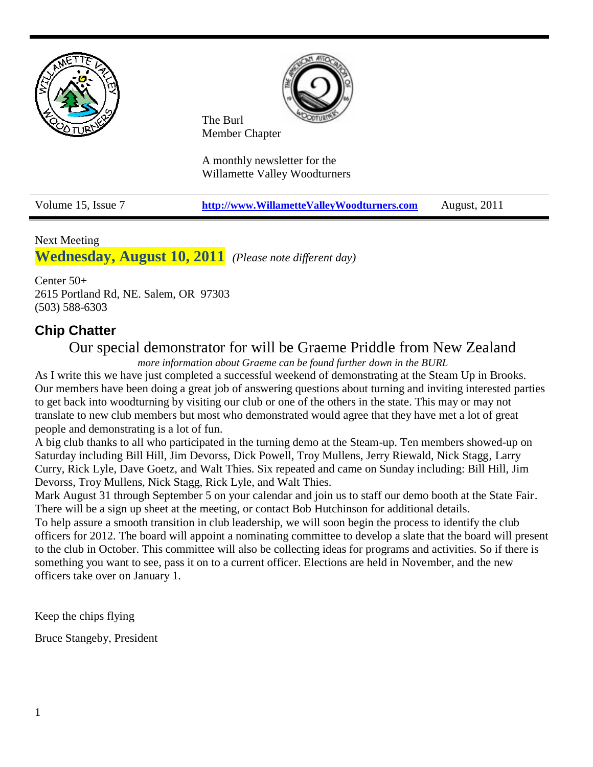



The Burl Member Chapter

A monthly newsletter for the Willamette Valley Woodturners

Volume 15, Issue 7 **[http://www.WillametteValleyWoodturners.com](http://www.willamettevalleywoodturners.com/)** August, 2011

### Next Meeting

**Wednesday, August 10, 2011** *(Please note different day)*

Center 50+ 2615 Portland Rd, NE. Salem, OR 97303 (503) 588-6303

# **Chip Chatter**

# Our special demonstrator for will be Graeme Priddle from New Zealand

*more information about Graeme can be found further down in the BURL*

As I write this we have just completed a successful weekend of demonstrating at the Steam Up in Brooks. Our members have been doing a great job of answering questions about turning and inviting interested parties to get back into woodturning by visiting our club or one of the others in the state. This may or may not translate to new club members but most who demonstrated would agree that they have met a lot of great people and demonstrating is a lot of fun.

A big club thanks to all who participated in the turning demo at the Steam-up. Ten members showed-up on Saturday including Bill Hill, Jim Devorss, Dick Powell, Troy Mullens, Jerry Riewald, Nick Stagg, Larry Curry, Rick Lyle, Dave Goetz, and Walt Thies. Six repeated and came on Sunday including: Bill Hill, Jim Devorss, Troy Mullens, Nick Stagg, Rick Lyle, and Walt Thies.

Mark August 31 through September 5 on your calendar and join us to staff our demo booth at the State Fair. There will be a sign up sheet at the meeting, or contact Bob Hutchinson for additional details. To help assure a smooth transition in club leadership, we will soon begin the process to identify the club officers for 2012. The board will appoint a nominating committee to develop a slate that the board will present to the club in October. This committee will also be collecting ideas for programs and activities. So if there is something you want to see, pass it on to a current officer. Elections are held in November, and the new officers take over on January 1.

Keep the chips flying

Bruce Stangeby, President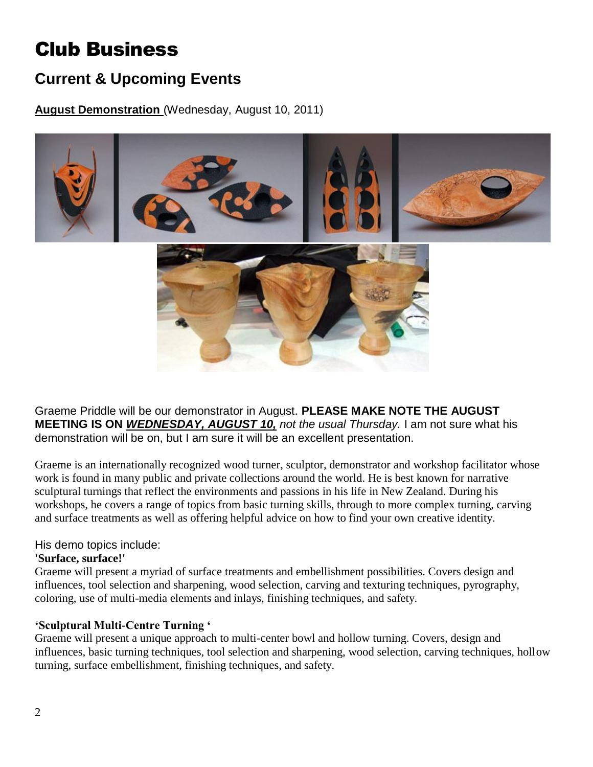# Club Business

# **Current & Upcoming Events**

**August Demonstration** (Wednesday, August 10, 2011)



Graeme Priddle will be our demonstrator in August. **PLEASE MAKE NOTE THE AUGUST MEETING IS ON** *WEDNESDAY, AUGUST 10, not the usual Thursday.* I am not sure what his demonstration will be on, but I am sure it will be an excellent presentation.

Graeme is an internationally recognized wood turner, sculptor, demonstrator and workshop facilitator whose work is found in many public and private collections around the world. He is best known for narrative sculptural turnings that reflect the environments and passions in his life in New Zealand. During his workshops, he covers a range of topics from basic turning skills, through to more complex turning, carving and surface treatments as well as offering helpful advice on how to find your own creative identity.

#### His demo topics include:

#### **'Surface, surface!'**

Graeme will present a myriad of surface treatments and embellishment possibilities. Covers design and influences, tool selection and sharpening, wood selection, carving and texturing techniques, pyrography, coloring, use of multi-media elements and inlays, finishing techniques, and safety.

# **'Sculptural Multi-Centre Turning '**

Graeme will present a unique approach to multi-center bowl and hollow turning. Covers, design and influences, basic turning techniques, tool selection and sharpening, wood selection, carving techniques, hollow turning, surface embellishment, finishing techniques, and safety.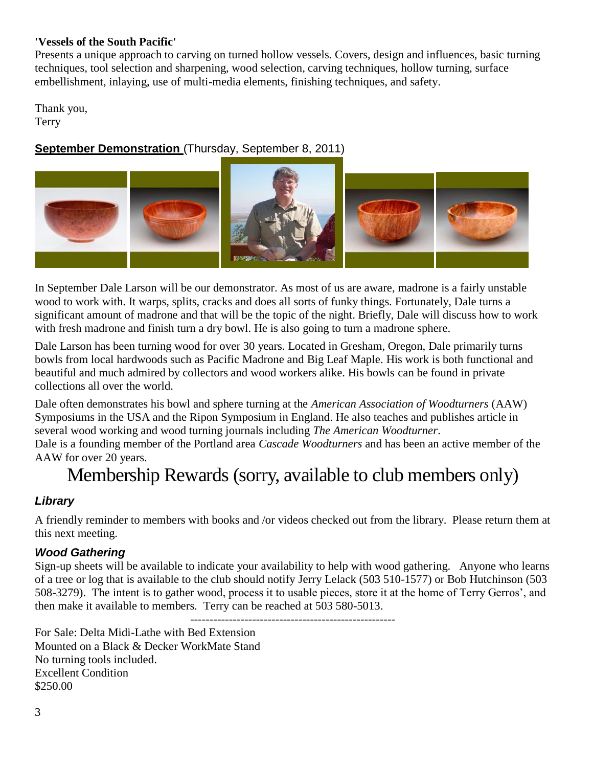### **'Vessels of the South Pacific'**

Presents a unique approach to carving on turned hollow vessels. Covers, design and influences, basic turning techniques, tool selection and sharpening, wood selection, carving techniques, hollow turning, surface embellishment, inlaying, use of multi-media elements, finishing techniques, and safety.

Thank you, Terry

# **September Demonstration** (Thursday, September 8, 2011)



In September Dale Larson will be our demonstrator. As most of us are aware, madrone is a fairly unstable wood to work with. It warps, splits, cracks and does all sorts of funky things. Fortunately, Dale turns a significant amount of madrone and that will be the topic of the night. Briefly, Dale will discuss how to work with fresh madrone and finish turn a dry bowl. He is also going to turn a madrone sphere.

Dale Larson has been turning wood for over 30 years. Located in Gresham, Oregon, Dale primarily turns bowls from local hardwoods such as Pacific Madrone and [Big Leaf Maple.](http://www.finewoodartists.com/woodtypes/maple.htm) His work is both functional and beautiful and much admired by collectors and wood workers alike. His bowls can be found in private collections all over the world.

Dale often demonstrates his bowl and sphere turning at the *American Association of Woodturners* (AAW) Symposiums in the USA and the Ripon Symposium in England. He also teaches and publishes article in several wood working and wood turning journals including *The American Woodturner*. Dale is a founding member of the Portland area *Cascade Woodturners* and has been an active member of the

AAW for over 20 years.

# Membership Rewards (sorry, available to club members only)

# *Library*

A friendly reminder to members with books and /or videos checked out from the library. Please return them at this next meeting.

# *Wood Gathering*

Sign-up sheets will be available to indicate your availability to help with wood gathering. Anyone who learns of a tree or log that is available to the club should notify Jerry Lelack (503 510-1577) or Bob Hutchinson (503 508-3279). The intent is to gather wood, process it to usable pieces, store it at the home of Terry Gerros', and then make it available to members. Terry can be reached at 503 580-5013.

----------------------------------------------------- For Sale: Delta Midi-Lathe with Bed Extension Mounted on a Black & Decker WorkMate Stand No turning tools included. Excellent Condition \$250.00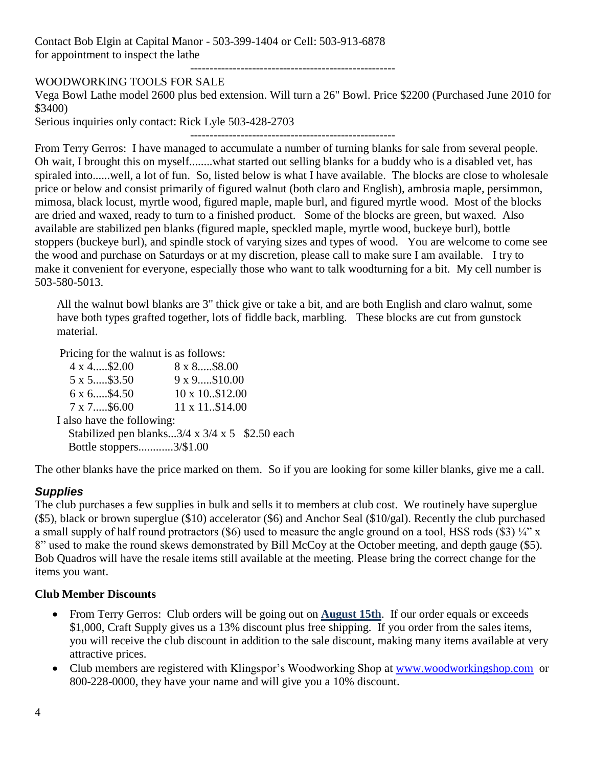Contact Bob Elgin at Capital Manor - 503-399-1404 or Cell: 503-913-6878 for appointment to inspect the lathe

-----------------------------------------------------

### WOODWORKING TOOLS FOR SALE

Vega Bowl Lathe model 2600 plus bed extension. Will turn a 26" Bowl. Price \$2200 (Purchased June 2010 for \$3400)

Serious inquiries only contact: Rick Lyle 503-428-2703

-----------------------------------------------------

From Terry Gerros: I have managed to accumulate a number of turning blanks for sale from several people. Oh wait, I brought this on myself........what started out selling blanks for a buddy who is a disabled vet, has spiraled into......well, a lot of fun. So, listed below is what I have available. The blocks are close to wholesale price or below and consist primarily of figured walnut (both claro and English), ambrosia maple, persimmon, mimosa, black locust, myrtle wood, figured maple, maple burl, and figured myrtle wood. Most of the blocks are dried and waxed, ready to turn to a finished product. Some of the blocks are green, but waxed. Also available are stabilized pen blanks (figured maple, speckled maple, myrtle wood, buckeye burl), bottle stoppers (buckeye burl), and spindle stock of varying sizes and types of wood. You are welcome to come see the wood and purchase on Saturdays or at my discretion, please call to make sure I am available. I try to make it convenient for everyone, especially those who want to talk woodturning for a bit. My cell number is 503-580-5013.

All the walnut bowl blanks are 3" thick give or take a bit, and are both English and claro walnut, some have both types grafted together, lots of fiddle back, marbling. These blocks are cut from gunstock material.

Pricing for the walnut is as follows:

| $4 \times 4$ \$2.00        | $8 \times 8 \dots .58.00$                                   |
|----------------------------|-------------------------------------------------------------|
| 5 x 5\$3.50                | 9 x 9\$10.00                                                |
| 6 x 6\$4.50                | 10 x 10\$12.00                                              |
| 7 x 7\$6.00                | 11 x 11\$14.00                                              |
| I also have the following: |                                                             |
|                            | Stabilized pen blanks $3/4 \times 3/4 \times 5$ \$2.50 each |
| Bottle stoppers3/\$1.00    |                                                             |
|                            |                                                             |

The other blanks have the price marked on them. So if you are looking for some killer blanks, give me a call.

# *Supplies*

The club purchases a few supplies in bulk and sells it to members at club cost. We routinely have superglue (\$5), black or brown superglue (\$10) accelerator (\$6) and Anchor Seal (\$10/gal). Recently the club purchased a small supply of half round protractors (\$6) used to measure the angle ground on a tool, HSS rods (\$3)  $\frac{1}{4}$ " x 8" used to make the round skews demonstrated by Bill McCoy at the October meeting, and depth gauge (\$5). Bob Quadros will have the resale items still available at the meeting. Please bring the correct change for the items you want.

#### **Club Member Discounts**

- From Terry Gerros: Club orders will be going out on **August 15th**. If our order equals or exceeds \$1,000, Craft Supply gives us a 13% discount plus free shipping. If you order from the sales items, you will receive the club discount in addition to the sale discount, making many items available at very attractive prices.
- Club members are registered with Klingspor's Woodworking Shop at [www.woodworkingshop.com](http://www.woodworkingshop.com/) or 800-228-0000, they have your name and will give you a 10% discount.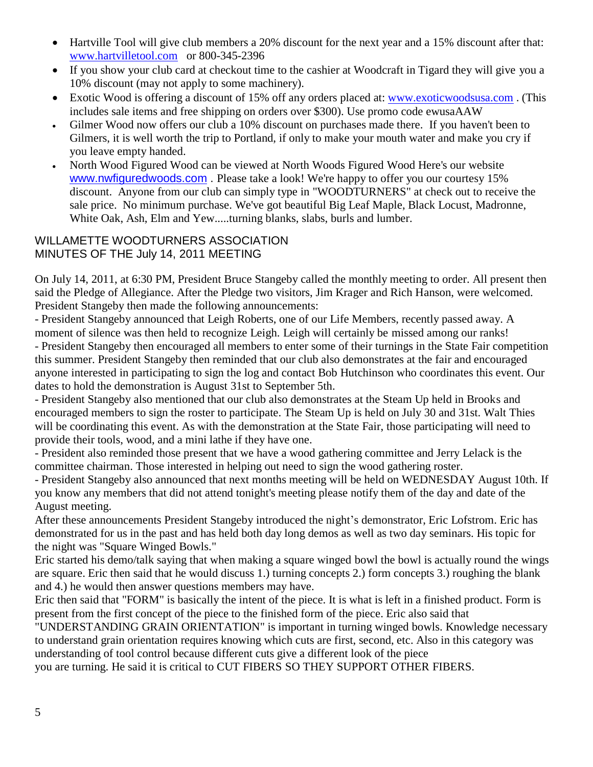- Hartville Tool will give club members a 20% discount for the next year and a 15% discount after that: [www.hartvilletool.com](http://www.hartvilletool.com/) or 800-345-2396
- If you show your club card at checkout time to the cashier at Woodcraft in Tigard they will give you a 10% discount (may not apply to some machinery).
- Exotic Wood is offering a discount of 15% off any orders placed at: [www.exoticwoodsusa.com](http://www.exoticwoodsusa.com/) . (This includes sale items and free shipping on orders over \$300). Use promo code ewusaAAW
- Gilmer Wood now offers our club a 10% discount on purchases made there. If you haven't been to Gilmers, it is well worth the trip to Portland, if only to make your mouth water and make you cry if you leave empty handed.
- North Wood Figured Wood can be viewed at North Woods Figured Wood Here's our website [www.nwfiguredwoods.com](http://www.nwfiguredwoods.com/) . Please take a look! We're happy to offer you our courtesy 15% discount. Anyone from our club can simply type in "WOODTURNERS" at check out to receive the sale price. No minimum purchase. We've got beautiful Big Leaf Maple, Black Locust, Madronne, White Oak, Ash, Elm and Yew.....turning blanks, slabs, burls and lumber.

# WILLAMETTE WOODTURNERS ASSOCIATION MINUTES OF THE July 14, 2011 MEETING

On July 14, 2011, at 6:30 PM, President Bruce Stangeby called the monthly meeting to order. All present then said the Pledge of Allegiance. After the Pledge two visitors, Jim Krager and Rich Hanson, were welcomed. President Stangeby then made the following announcements:

- President Stangeby announced that Leigh Roberts, one of our Life Members, recently passed away. A moment of silence was then held to recognize Leigh. Leigh will certainly be missed among our ranks! - President Stangeby then encouraged all members to enter some of their turnings in the State Fair competition this summer. President Stangeby then reminded that our club also demonstrates at the fair and encouraged anyone interested in participating to sign the log and contact Bob Hutchinson who coordinates this event. Our dates to hold the demonstration is August 31st to September 5th.

- President Stangeby also mentioned that our club also demonstrates at the Steam Up held in Brooks and encouraged members to sign the roster to participate. The Steam Up is held on July 30 and 31st. Walt Thies will be coordinating this event. As with the demonstration at the State Fair, those participating will need to provide their tools, wood, and a mini lathe if they have one.

- President also reminded those present that we have a wood gathering committee and Jerry Lelack is the committee chairman. Those interested in helping out need to sign the wood gathering roster.

- President Stangeby also announced that next months meeting will be held on WEDNESDAY August 10th. If you know any members that did not attend tonight's meeting please notify them of the day and date of the August meeting.

After these announcements President Stangeby introduced the night's demonstrator, Eric Lofstrom. Eric has demonstrated for us in the past and has held both day long demos as well as two day seminars. His topic for the night was "Square Winged Bowls."

Eric started his demo/talk saying that when making a square winged bowl the bowl is actually round the wings are square. Eric then said that he would discuss 1.) turning concepts 2.) form concepts 3.) roughing the blank and 4.) he would then answer questions members may have.

Eric then said that "FORM" is basically the intent of the piece. It is what is left in a finished product. Form is present from the first concept of the piece to the finished form of the piece. Eric also said that

"UNDERSTANDING GRAIN ORIENTATION" is important in turning winged bowls. Knowledge necessary to understand grain orientation requires knowing which cuts are first, second, etc. Also in this category was understanding of tool control because different cuts give a different look of the piece

you are turning. He said it is critical to CUT FIBERS SO THEY SUPPORT OTHER FIBERS.